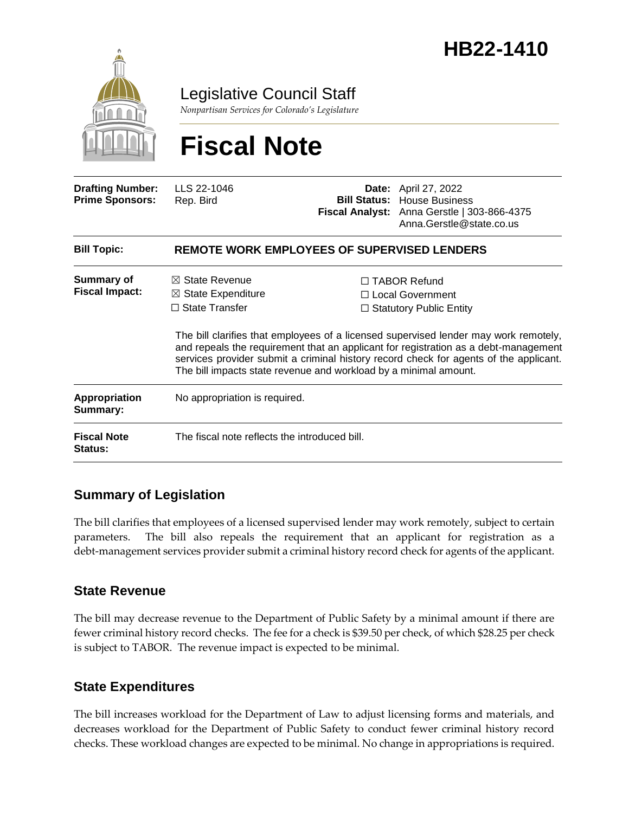

Legislative Council Staff

*Nonpartisan Services for Colorado's Legislature*

# **Fiscal Note**

| <b>Drafting Number:</b><br><b>Prime Sponsors:</b> | LLS 22-1046<br>Rep. Bird                                                                                                                                                                                                                                                                                                                                                                                                                   |  | <b>Date:</b> April 27, 2022<br><b>Bill Status:</b> House Business<br>Fiscal Analyst: Anna Gerstle   303-866-4375<br>Anna.Gerstle@state.co.us |
|---------------------------------------------------|--------------------------------------------------------------------------------------------------------------------------------------------------------------------------------------------------------------------------------------------------------------------------------------------------------------------------------------------------------------------------------------------------------------------------------------------|--|----------------------------------------------------------------------------------------------------------------------------------------------|
| <b>Bill Topic:</b>                                | <b>REMOTE WORK EMPLOYEES OF SUPERVISED LENDERS</b>                                                                                                                                                                                                                                                                                                                                                                                         |  |                                                                                                                                              |
| <b>Summary of</b><br><b>Fiscal Impact:</b>        | $\boxtimes$ State Revenue<br>$\Box$ TABOR Refund<br>$\boxtimes$ State Expenditure<br>□ Local Government<br>$\Box$ State Transfer<br>$\Box$ Statutory Public Entity<br>The bill clarifies that employees of a licensed supervised lender may work remotely,<br>and repeals the requirement that an applicant for registration as a debt-management<br>services provider submit a criminal history record check for agents of the applicant. |  |                                                                                                                                              |
| <b>Appropriation</b><br>Summary:                  | The bill impacts state revenue and workload by a minimal amount.<br>No appropriation is required.                                                                                                                                                                                                                                                                                                                                          |  |                                                                                                                                              |
| <b>Fiscal Note</b><br><b>Status:</b>              | The fiscal note reflects the introduced bill.                                                                                                                                                                                                                                                                                                                                                                                              |  |                                                                                                                                              |

## **Summary of Legislation**

The bill clarifies that employees of a licensed supervised lender may work remotely, subject to certain parameters. The bill also repeals the requirement that an applicant for registration as a debt-management services provider submit a criminal history record check for agents of the applicant.

#### **State Revenue**

The bill may decrease revenue to the Department of Public Safety by a minimal amount if there are fewer criminal history record checks. The fee for a check is \$39.50 per check, of which \$28.25 per check is subject to TABOR. The revenue impact is expected to be minimal.

## **State Expenditures**

The bill increases workload for the Department of Law to adjust licensing forms and materials, and decreases workload for the Department of Public Safety to conduct fewer criminal history record checks. These workload changes are expected to be minimal. No change in appropriations is required.